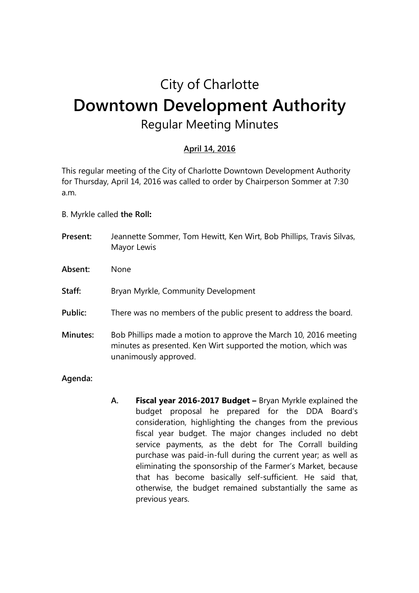## City of Charlotte **Downtown Development Authority**  Regular Meeting Minutes

## **April 14, 2016**

This regular meeting of the City of Charlotte Downtown Development Authority for Thursday, April 14, 2016 was called to order by Chairperson Sommer at 7:30 a.m.

- B. Myrkle called **the Roll:**
- **Present:** Jeannette Sommer, Tom Hewitt, Ken Wirt, Bob Phillips, Travis Silvas, Mayor Lewis
- **Absent:** None
- **Staff:** Bryan Myrkle, Community Development
- Public: There was no members of the public present to address the board.
- **Minutes:** Bob Phillips made a motion to approve the March 10, 2016 meeting minutes as presented. Ken Wirt supported the motion, which was unanimously approved.
- **Agenda:**
- **A. Fiscal year 2016-2017 Budget** Bryan Myrkle explained the budget proposal he prepared for the DDA Board's consideration, highlighting the changes from the previous fiscal year budget. The major changes included no debt service payments, as the debt for The Corrall building purchase was paid-in-full during the current year; as well as eliminating the sponsorship of the Farmer's Market, because that has become basically self-sufficient. He said that, otherwise, the budget remained substantially the same as previous years.